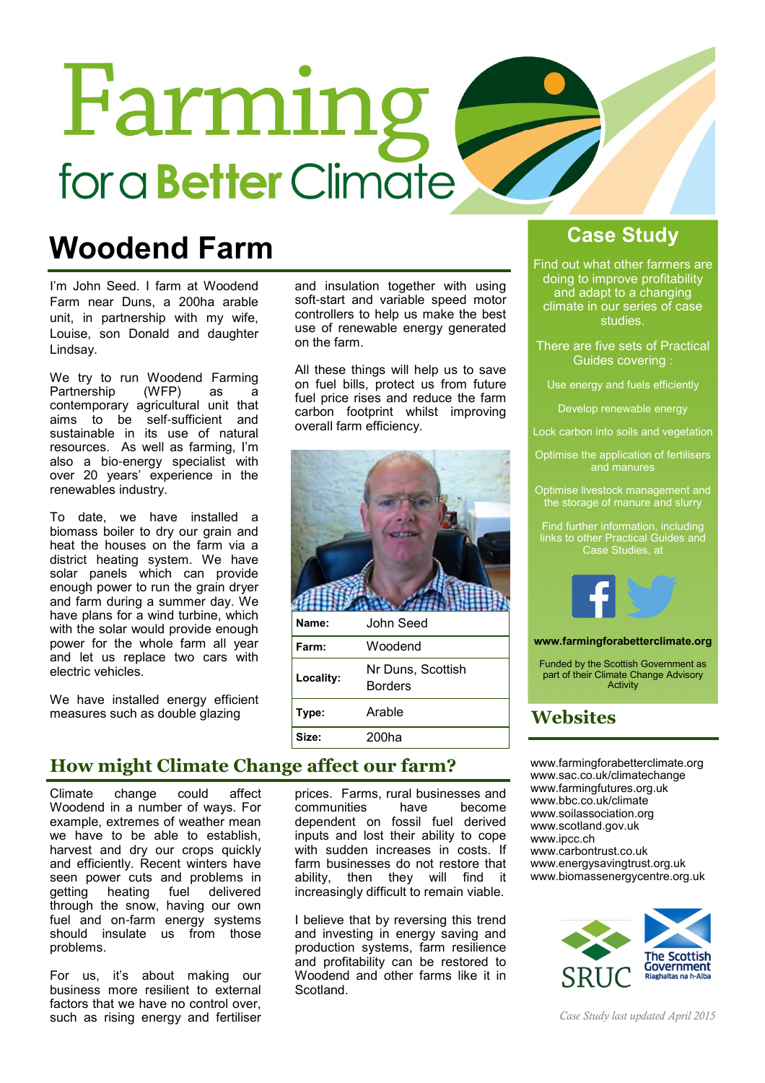# Farming for a **Better** Climate

## Woodend Farm Case Study

I'm John Seed. I farm at Woodend Farm near Duns, a 200ha arable unit, in partnership with my wife, Louise, son Donald and daughter Lindsay.

We try to run Woodend Farming<br>Partnership (WFP) as a Partnership (WFP) as a contemporary agricultural unit that aims to be self-sufficient and sustainable in its use of natural resources. As well as farming, I'm also a bio-energy specialist with over 20 years' experience in the renewables industry.

To date, we have installed a biomass boiler to dry our grain and heat the houses on the farm via a district heating system. We have solar panels which can provide enough power to run the grain dryer and farm during a summer day. We have plans for a wind turbine, which with the solar would provide enough power for the whole farm all year and let us replace two cars with electric vehicles.

We have installed energy efficient measures such as double glazing

### How might Climate Change affect our farm?

Climate change could affect Woodend in a number of ways. For example, extremes of weather mean we have to be able to establish, harvest and dry our crops quickly and efficiently. Recent winters have seen power cuts and problems in getting heating fuel delivered through the snow, having our own fuel and on-farm energy systems should insulate us from those problems.

For us, it's about making our business more resilient to external factors that we have no control over, such as rising energy and fertiliser

and insulation together with using soft-start and variable speed motor controllers to help us make the best use of renewable energy generated on the farm.

All these things will help us to save on fuel bills, protect us from future fuel price rises and reduce the farm carbon footprint whilst improving overall farm efficiency.



| Name:     | John Seed                           |
|-----------|-------------------------------------|
| Farm:     | Woodend                             |
| Locality: | Nr Duns, Scottish<br><b>Borders</b> |
| Type:     | Arable                              |
| Size:     | 200ha                               |

prices. Farms, rural businesses and<br>communities become communities have become dependent on fossil fuel derived inputs and lost their ability to cope with sudden increases in costs. If farm businesses do not restore that ability, then they will find it increasingly difficult to remain viable.

I believe that by reversing this trend and investing in energy saving and production systems, farm resilience and profitability can be restored to Woodend and other farms like it in Scotland.

Find out what other farmers are doing to improve profitability and adapt to a changing climate in our series of case studies.

There are five sets of Practical Guides covering :

Use energy and fuels efficiently

Develop renewable energy

Lock carbon into soils and vegetation

Optimise the application of fertilisers

Optimise livestock management and the storage of manure and slurry

Find further information, including links to other Practical Guides and Case Studies, at



#### www.farmingforabetterclimate.org

Funded by the Scottish Government as part of their Climate Change Advisory Activity

### Websites

www.farmingforabetterclimate.org www.sac.co.uk/climatechange www.farmingfutures.org.uk www.bbc.co.uk/climate www.soilassociation.org www.scotland.gov.uk www.ipcc.ch www.carbontrust.co.uk www.energysavingtrust.org.uk www.biomassenergycentre.org.uk